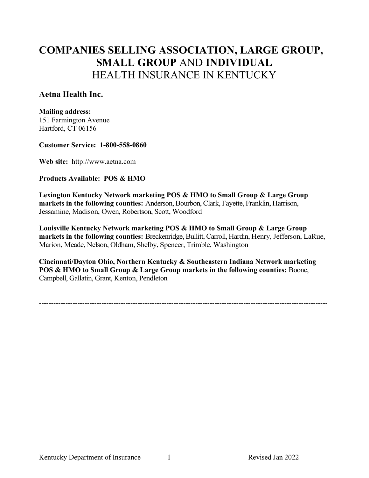## Aetna Health Inc.

#### Mailing address:

151 Farmington Avenue Hartford, CT 06156

#### Customer Service: 1-800-558-0860

Web site: http://www.aetna.com

### Products Available: POS & HMO

Lexington Kentucky Network marketing POS & HMO to Small Group & Large Group markets in the following counties: Anderson, Bourbon, Clark, Fayette, Franklin, Harrison, Jessamine, Madison, Owen, Robertson, Scott, Woodford

Louisville Kentucky Network marketing POS & HMO to Small Group & Large Group markets in the following counties: Breckenridge, Bullitt, Carroll, Hardin, Henry, Jefferson, LaRue, Marion, Meade, Nelson, Oldham, Shelby, Spencer, Trimble, Washington

Cincinnati/Dayton Ohio, Northern Kentucky & Southeastern Indiana Network marketing POS & HMO to Small Group & Large Group markets in the following counties: Boone, Campbell, Gallatin, Grant, Kenton, Pendleton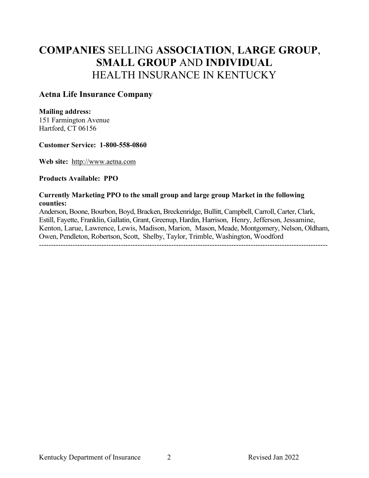## Aetna Life Insurance Company

### Mailing address:

151 Farmington Avenue Hartford, CT 06156

### Customer Service: 1-800-558-0860

Web site: http://www.aetna.com

### Products Available: PPO

### Currently Marketing PPO to the small group and large group Market in the following counties:

Anderson, Boone, Bourbon, Boyd, Bracken, Breckenridge, Bullitt, Campbell, Carroll, Carter, Clark, Estill, Fayette, Franklin, Gallatin, Grant, Greenup, Hardin, Harrison, Henry, Jefferson, Jessamine, Kenton, Larue, Lawrence, Lewis, Madison, Marion, Mason, Meade, Montgomery, Nelson, Oldham, Owen, Pendleton, Robertson, Scott, Shelby, Taylor, Trimble, Washington, Woodford ------------------------------------------------------------------------------------------------------------------------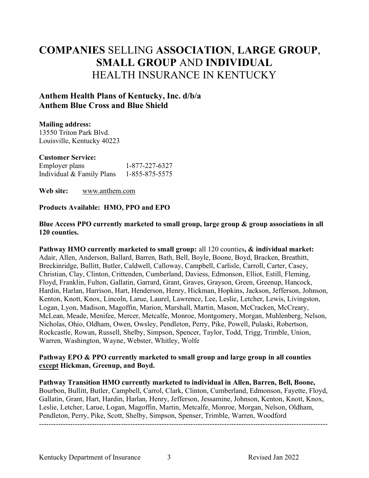# Anthem Health Plans of Kentucky, Inc. d/b/a Anthem Blue Cross and Blue Shield

## Mailing address:

13550 Triton Park Blvd. Louisville, Kentucky 40223

## Customer Service:

| Employer plans            | 1-877-227-6327 |
|---------------------------|----------------|
| Individual & Family Plans | 1-855-875-5575 |

Web site: www.anthem.com

## Products Available: HMO, PPO and EPO

Blue Access PPO currently marketed to small group, large group & group associations in all 120 counties.

Pathway HMO currently marketed to small group: all 120 counties, & individual market: Adair, Allen, Anderson, Ballard, Barren, Bath, Bell, Boyle, Boone, Boyd, Bracken, Breathitt, Breckinridge, Bullitt, Butler, Caldwell, Calloway, Campbell, Carlisle, Carroll, Carter, Casey, Christian, Clay, Clinton, Crittenden, Cumberland, Daviess, Edmonson, Elliot, Estill, Fleming, Floyd, Franklin, Fulton, Gallatin, Garrard, Grant, Graves, Grayson, Green, Greenup, Hancock, Hardin, Harlan, Harrison, Hart, Henderson, Henry, Hickman, Hopkins, Jackson, Jefferson, Johnson, Kenton, Knott, Knox, Lincoln, Larue, Laurel, Lawrence, Lee, Leslie, Letcher, Lewis, Livingston, Logan, Lyon, Madison, Magoffin, Marion, Marshall, Martin, Mason, McCracken, McCreary, McLean, Meade, Menifee, Mercer, Metcalfe, Monroe, Montgomery, Morgan, Muhlenberg, Nelson, Nicholas, Ohio, Oldham, Owen, Owsley, Pendleton, Perry, Pike, Powell, Pulaski, Robertson, Rockcastle, Rowan, Russell, Shelby, Simpson, Spencer, Taylor, Todd, Trigg, Trimble, Union, Warren, Washington, Wayne, Webster, Whitley, Wolfe

### Pathway EPO & PPO currently marketed to small group and large group in all counties except Hickman, Greenup, and Boyd.

Pathway Transition HMO currently marketed to individual in Allen, Barren, Bell, Boone, Bourbon, Bullitt, Butler, Campbell, Carrol, Clark, Clinton, Cumberland, Edmonson, Fayette, Floyd, Gallatin, Grant, Hart, Hardin, Harlan, Henry, Jefferson, Jessamine, Johnson, Kenton, Knott, Knox, Leslie, Letcher, Larue, Logan, Magoffin, Martin, Metcalfe, Monroe, Morgan, Nelson, Oldham, Pendleton, Perry, Pike, Scott, Shelby, Simpson, Spenser, Trimble, Warren, Woodford ------------------------------------------------------------------------------------------------------------------------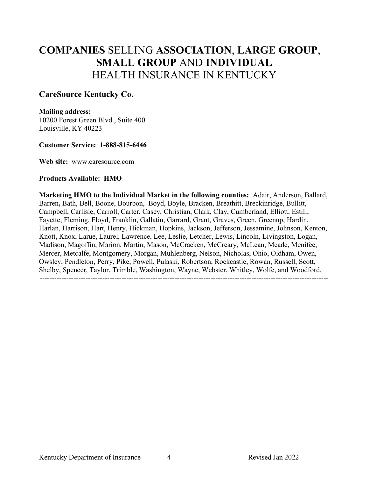## CareSource Kentucky Co.

#### Mailing address:

10200 Forest Green Blvd., Suite 400 Louisville, KY 40223

#### Customer Service: 1-888-815-6446

Web site: www.caresource.com

#### Products Available: HMO

Marketing HMO to the Individual Market in the following counties: Adair, Anderson, Ballard, Barren, Bath, Bell, Boone, Bourbon, Boyd, Boyle, Bracken, Breathitt, Breckinridge, Bullitt, Campbell, Carlisle, Carroll, Carter, Casey, Christian, Clark, Clay, Cumberland, Elliott, Estill, Fayette, Fleming, Floyd, Franklin, Gallatin, Garrard, Grant, Graves, Green, Greenup, Hardin, Harlan, Harrison, Hart, Henry, Hickman, Hopkins, Jackson, Jefferson, Jessamine, Johnson, Kenton, Knott, Knox, Larue, Laurel, Lawrence, Lee, Leslie, Letcher, Lewis, Lincoln, Livingston, Logan, Madison, Magoffin, Marion, Martin, Mason, McCracken, McCreary, McLean, Meade, Menifee, Mercer, Metcalfe, Montgomery, Morgan, Muhlenberg, Nelson, Nicholas, Ohio, Oldham, Owen, Owsley, Pendleton, Perry, Pike, Powell, Pulaski, Robertson, Rockcastle, Rowan, Russell, Scott, Shelby, Spencer, Taylor, Trimble, Washington, Wayne, Webster, Whitley, Wolfe, and Woodford. ------------------------------------------------------------------------------------------------------------------------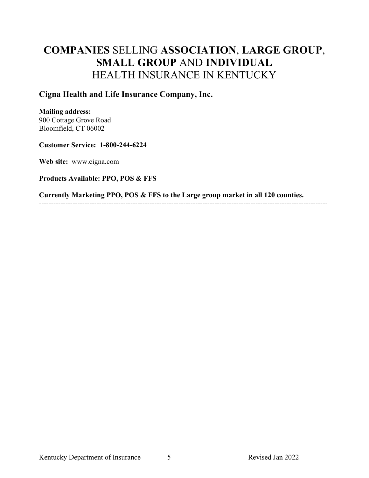## Cigna Health and Life Insurance Company, Inc.

### Mailing address:

900 Cottage Grove Road Bloomfield, CT 06002

### Customer Service: 1-800-244-6224

Web site: www.cigna.com

## Products Available: PPO, POS & FFS

Currently Marketing PPO, POS & FFS to the Large group market in all 120 counties.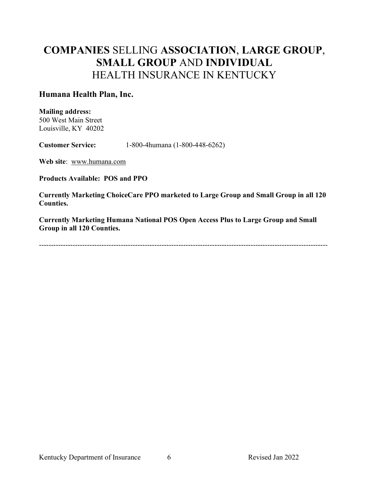## Humana Health Plan, Inc.

Mailing address:

500 West Main Street Louisville, KY 40202

Customer Service: 1-800-4humana (1-800-448-6262)

Web site: www.humana.com

Products Available: POS and PPO

Currently Marketing ChoiceCare PPO marketed to Large Group and Small Group in all 120 Counties.

Currently Marketing Humana National POS Open Access Plus to Large Group and Small Group in all 120 Counties.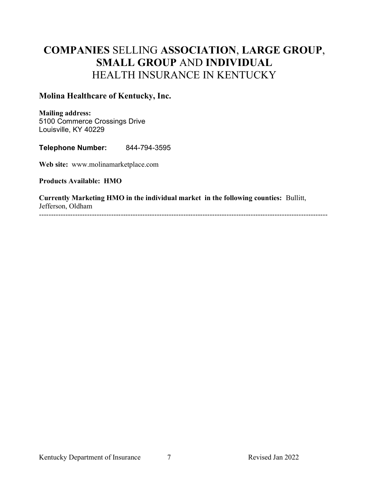# Molina Healthcare of Kentucky, Inc.

Mailing address: 5100 Commerce Crossings Drive Louisville, KY 40229

Telephone Number: 844-794-3595

Web site: www.molinamarketplace.com

Products Available: HMO

Currently Marketing HMO in the individual market in the following counties: Bullitt, Jefferson, Oldham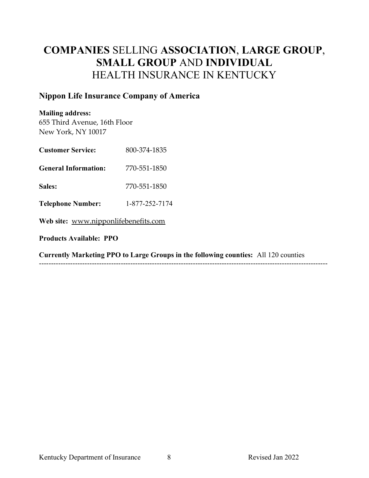# Nippon Life Insurance Company of America

### Mailing address:

655 Third Avenue, 16th Floor New York, NY 10017

| <b>Customer Service:</b>                                                                             | 800-374-1835   |  |  |  |
|------------------------------------------------------------------------------------------------------|----------------|--|--|--|
| <b>General Information:</b>                                                                          | 770-551-1850   |  |  |  |
| Sales:                                                                                               | 770-551-1850   |  |  |  |
| <b>Telephone Number:</b>                                                                             | 1-877-252-7174 |  |  |  |
| Web site: www.nipponlifebenefits.com                                                                 |                |  |  |  |
| <b>Products Available: PPO</b>                                                                       |                |  |  |  |
| $C$ we obtain $M$ and $\alpha$ is a point of $\alpha$ is a property of $C$ is a property of $\alpha$ |                |  |  |  |

Currently Marketing PPO to Large Groups in the following counties: All 120 counties ------------------------------------------------------------------------------------------------------------------------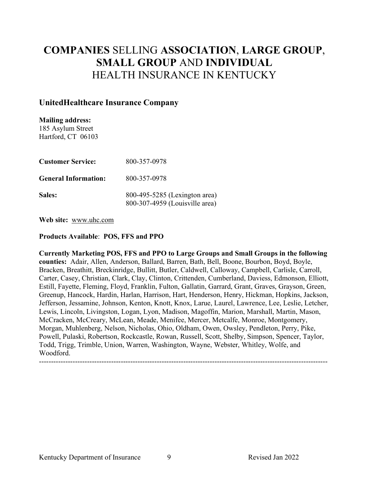## UnitedHealthcare Insurance Company

Mailing address: 185 Asylum Street Hartford, CT 06103

| <b>Customer Service:</b>    | 800-357-0978                                                    |
|-----------------------------|-----------------------------------------------------------------|
| <b>General Information:</b> | 800-357-0978                                                    |
| Sales:                      | 800-495-5285 (Lexington area)<br>800-307-4959 (Louisville area) |

Web site: www.uhc.com

### Products Available: POS, FFS and PPO

Currently Marketing POS, FFS and PPO to Large Groups and Small Groups in the following counties: Adair, Allen, Anderson, Ballard, Barren, Bath, Bell, Boone, Bourbon, Boyd, Boyle, Bracken, Breathitt, Breckinridge, Bullitt, Butler, Caldwell, Calloway, Campbell, Carlisle, Carroll, Carter, Casey, Christian, Clark, Clay, Clinton, Crittenden, Cumberland, Daviess, Edmonson, Elliott, Estill, Fayette, Fleming, Floyd, Franklin, Fulton, Gallatin, Garrard, Grant, Graves, Grayson, Green, Greenup, Hancock, Hardin, Harlan, Harrison, Hart, Henderson, Henry, Hickman, Hopkins, Jackson, Jefferson, Jessamine, Johnson, Kenton, Knott, Knox, Larue, Laurel, Lawrence, Lee, Leslie, Letcher, Lewis, Lincoln, Livingston, Logan, Lyon, Madison, Magoffin, Marion, Marshall, Martin, Mason, McCracken, McCreary, McLean, Meade, Menifee, Mercer, Metcalfe, Monroe, Montgomery, Morgan, Muhlenberg, Nelson, Nicholas, Ohio, Oldham, Owen, Owsley, Pendleton, Perry, Pike, Powell, Pulaski, Robertson, Rockcastle, Rowan, Russell, Scott, Shelby, Simpson, Spencer, Taylor, Todd, Trigg, Trimble, Union, Warren, Washington, Wayne, Webster, Whitley, Wolfe, and Woodford.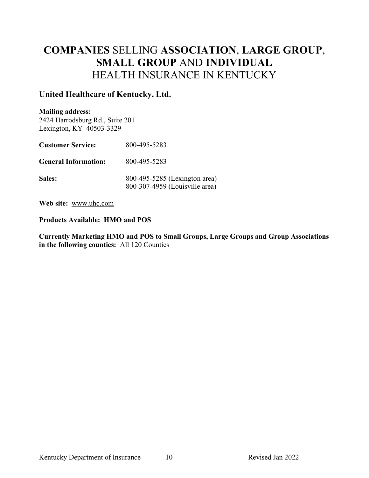## United Healthcare of Kentucky, Ltd.

### Mailing address:

2424 Harrodsburg Rd., Suite 201 Lexington, KY 40503-3329

| <b>Customer Service:</b>    | 800-495-5283                                                    |
|-----------------------------|-----------------------------------------------------------------|
| <b>General Information:</b> | 800-495-5283                                                    |
| Sales:                      | 800-495-5285 (Lexington area)<br>800-307-4959 (Louisville area) |

Web site: www.uhc.com

Products Available: HMO and POS

Currently Marketing HMO and POS to Small Groups, Large Groups and Group Associations in the following counties: All 120 Counties ------------------------------------------------------------------------------------------------------------------------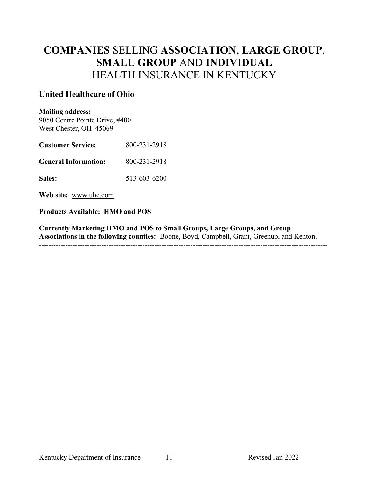# United Healthcare of Ohio

#### Mailing address:

9050 Centre Pointe Drive, #400 West Chester, OH 45069

| <b>Customer Service:</b>    | 800-231-2918 |
|-----------------------------|--------------|
| <b>General Information:</b> | 800-231-2918 |
| <b>Sales:</b>               | 513-603-6200 |

Web site: www.uhc.com

### Products Available: HMO and POS

Currently Marketing HMO and POS to Small Groups, Large Groups, and Group Associations in the following counties: Boone, Boyd, Campbell, Grant, Greenup, and Kenton. ------------------------------------------------------------------------------------------------------------------------